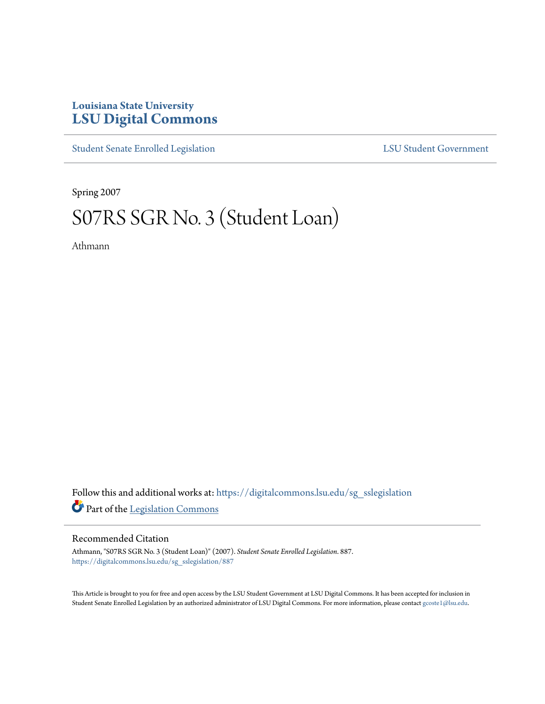## **Louisiana State University [LSU Digital Commons](https://digitalcommons.lsu.edu?utm_source=digitalcommons.lsu.edu%2Fsg_sslegislation%2F887&utm_medium=PDF&utm_campaign=PDFCoverPages)**

[Student Senate Enrolled Legislation](https://digitalcommons.lsu.edu/sg_sslegislation?utm_source=digitalcommons.lsu.edu%2Fsg_sslegislation%2F887&utm_medium=PDF&utm_campaign=PDFCoverPages) [LSU Student Government](https://digitalcommons.lsu.edu/sg?utm_source=digitalcommons.lsu.edu%2Fsg_sslegislation%2F887&utm_medium=PDF&utm_campaign=PDFCoverPages)

Spring 2007

## S07RS SGR No. 3 (Student Loan)

Athmann

Follow this and additional works at: [https://digitalcommons.lsu.edu/sg\\_sslegislation](https://digitalcommons.lsu.edu/sg_sslegislation?utm_source=digitalcommons.lsu.edu%2Fsg_sslegislation%2F887&utm_medium=PDF&utm_campaign=PDFCoverPages) Part of the [Legislation Commons](http://network.bepress.com/hgg/discipline/859?utm_source=digitalcommons.lsu.edu%2Fsg_sslegislation%2F887&utm_medium=PDF&utm_campaign=PDFCoverPages)

## Recommended Citation

Athmann, "S07RS SGR No. 3 (Student Loan)" (2007). *Student Senate Enrolled Legislation*. 887. [https://digitalcommons.lsu.edu/sg\\_sslegislation/887](https://digitalcommons.lsu.edu/sg_sslegislation/887?utm_source=digitalcommons.lsu.edu%2Fsg_sslegislation%2F887&utm_medium=PDF&utm_campaign=PDFCoverPages)

This Article is brought to you for free and open access by the LSU Student Government at LSU Digital Commons. It has been accepted for inclusion in Student Senate Enrolled Legislation by an authorized administrator of LSU Digital Commons. For more information, please contact [gcoste1@lsu.edu.](mailto:gcoste1@lsu.edu)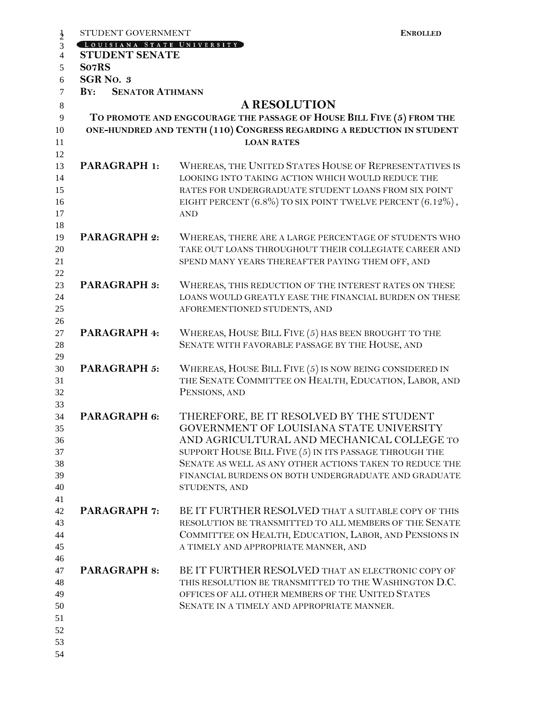| STUDENT GOVERNMENT            | <b>ENROLLED</b>                                                                                                                                                     |
|-------------------------------|---------------------------------------------------------------------------------------------------------------------------------------------------------------------|
| LOUISIANA STATE UNIVERSITY    |                                                                                                                                                                     |
| <b>STUDENT SENATE</b>         |                                                                                                                                                                     |
| So7RS                         |                                                                                                                                                                     |
| <b>SGR No. 3</b>              |                                                                                                                                                                     |
| <b>SENATOR ATHMANN</b><br>BY: |                                                                                                                                                                     |
|                               | <b>A RESOLUTION</b>                                                                                                                                                 |
|                               | TO PROMOTE AND ENGCOURAGE THE PASSAGE OF HOUSE BILL FIVE (5) FROM THE                                                                                               |
|                               | ONE-HUNDRED AND TENTH (110) CONGRESS REGARDING A REDUCTION IN STUDENT                                                                                               |
|                               | <b>LOAN RATES</b>                                                                                                                                                   |
|                               |                                                                                                                                                                     |
| <b>PARAGRAPH 1:</b>           | WHEREAS, THE UNITED STATES HOUSE OF REPRESENTATIVES IS<br>LOOKING INTO TAKING ACTION WHICH WOULD REDUCE THE<br>RATES FOR UNDERGRADUATE STUDENT LOANS FROM SIX POINT |
|                               | EIGHT PERCENT $(6.8\%)$ TO SIX POINT TWELVE PERCENT $(6.12\%)$ ,<br><b>AND</b>                                                                                      |
| <b>PARAGRAPH 2:</b>           | WHEREAS, THERE ARE A LARGE PERCENTAGE OF STUDENTS WHO                                                                                                               |
|                               | TAKE OUT LOANS THROUGHOUT THEIR COLLEGIATE CAREER AND                                                                                                               |
|                               | SPEND MANY YEARS THEREAFTER PAYING THEM OFF, AND                                                                                                                    |
|                               |                                                                                                                                                                     |
| <b>PARAGRAPH 3:</b>           | WHEREAS, THIS REDUCTION OF THE INTEREST RATES ON THESE                                                                                                              |
|                               | LOANS WOULD GREATLY EASE THE FINANCIAL BURDEN ON THESE                                                                                                              |
|                               | AFOREMENTIONED STUDENTS, AND                                                                                                                                        |
|                               |                                                                                                                                                                     |
| <b>PARAGRAPH 4:</b>           | WHEREAS, HOUSE BILL FIVE (5) HAS BEEN BROUGHT TO THE                                                                                                                |
|                               | SENATE WITH FAVORABLE PASSAGE BY THE HOUSE, AND                                                                                                                     |
|                               |                                                                                                                                                                     |
| <b>PARAGRAPH 5:</b>           | WHEREAS, HOUSE BILL FIVE (5) IS NOW BEING CONSIDERED IN                                                                                                             |
|                               | THE SENATE COMMITTEE ON HEALTH, EDUCATION, LABOR, AND                                                                                                               |
|                               | PENSIONS, AND                                                                                                                                                       |
|                               |                                                                                                                                                                     |
| PARAGRAPH 6:                  | THEREFORE, BE IT RESOLVED BY THE STUDENT<br>GOVERNMENT OF LOUISIANA STATE UNIVERSITY                                                                                |
|                               | AND AGRICULTURAL AND MECHANICAL COLLEGE TO                                                                                                                          |
|                               | SUPPORT HOUSE BILL FIVE (5) IN ITS PASSAGE THROUGH THE                                                                                                              |
|                               | SENATE AS WELL AS ANY OTHER ACTIONS TAKEN TO REDUCE THE                                                                                                             |
|                               | FINANCIAL BURDENS ON BOTH UNDERGRADUATE AND GRADUATE                                                                                                                |
|                               | STUDENTS, AND                                                                                                                                                       |
|                               |                                                                                                                                                                     |
| <b>PARAGRAPH 7:</b>           | BE IT FURTHER RESOLVED THAT A SUITABLE COPY OF THIS                                                                                                                 |
|                               | RESOLUTION BE TRANSMITTED TO ALL MEMBERS OF THE SENATE                                                                                                              |
|                               | COMMITTEE ON HEALTH, EDUCATION, LABOR, AND PENSIONS IN                                                                                                              |
|                               | A TIMELY AND APPROPRIATE MANNER, AND                                                                                                                                |
|                               |                                                                                                                                                                     |
| <b>PARAGRAPH 8:</b>           | BE IT FURTHER RESOLVED THAT AN ELECTRONIC COPY OF                                                                                                                   |
|                               | THIS RESOLUTION BE TRANSMITTED TO THE WASHINGTON D.C.                                                                                                               |
|                               | OFFICES OF ALL OTHER MEMBERS OF THE UNITED STATES                                                                                                                   |
|                               | SENATE IN A TIMELY AND APPROPRIATE MANNER.                                                                                                                          |
|                               |                                                                                                                                                                     |
|                               |                                                                                                                                                                     |
|                               |                                                                                                                                                                     |
|                               |                                                                                                                                                                     |